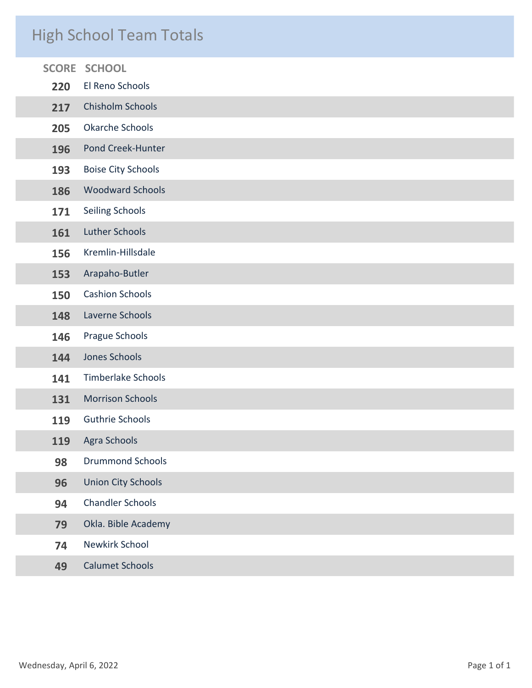# High School Team Totals

| <b>SCORE</b> | <b>SCHOOL</b>             |
|--------------|---------------------------|
| 220          | El Reno Schools           |
| 217          | Chisholm Schools          |
| 205          | Okarche Schools           |
| 196          | Pond Creek-Hunter         |
| 193          | <b>Boise City Schools</b> |
| 186          | <b>Woodward Schools</b>   |
| 171          | Seiling Schools           |
| 161          | <b>Luther Schools</b>     |
| 156          | Kremlin-Hillsdale         |
| 153          | Arapaho-Butler            |
| 150          | <b>Cashion Schools</b>    |
| 148          | Laverne Schools           |
| 146          | Prague Schools            |
| 144          | Jones Schools             |
| 141          | <b>Timberlake Schools</b> |
| 131          | <b>Morrison Schools</b>   |
| 119          | <b>Guthrie Schools</b>    |
| 119          | <b>Agra Schools</b>       |
| 98           | <b>Drummond Schools</b>   |
| 96           | <b>Union City Schools</b> |
| 94           | <b>Chandler Schools</b>   |
| 79           | Okla. Bible Academy       |
| 74           | Newkirk School            |
| 49           | <b>Calumet Schools</b>    |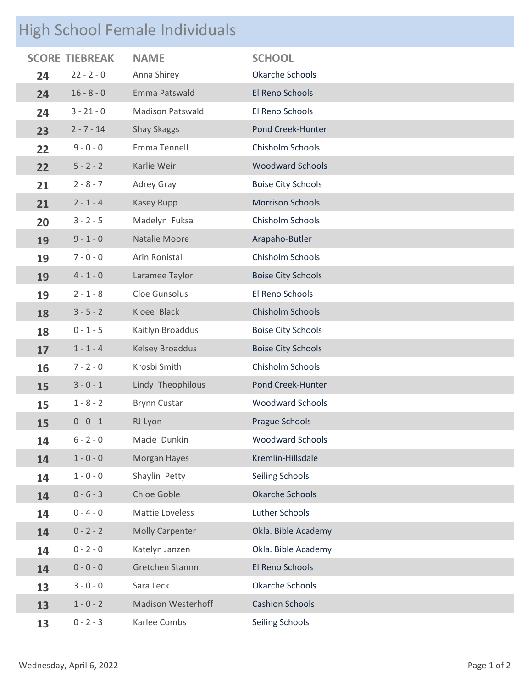# High School Female Individuals

|    | <b>SCORE TIEBREAK</b> | <b>NAME</b>               | <b>SCHOOL</b>             |
|----|-----------------------|---------------------------|---------------------------|
| 24 | $22 - 2 - 0$          | Anna Shirey               | Okarche Schools           |
| 24 | $16 - 8 - 0$          | Emma Patswald             | El Reno Schools           |
| 24 | $3 - 21 - 0$          | <b>Madison Patswald</b>   | El Reno Schools           |
| 23 | $2 - 7 - 14$          | <b>Shay Skaggs</b>        | Pond Creek-Hunter         |
| 22 | $9 - 0 - 0$           | Emma Tennell              | Chisholm Schools          |
| 22 | $5 - 2 - 2$           | Karlie Weir               | <b>Woodward Schools</b>   |
| 21 | $2 - 8 - 7$           | Adrey Gray                | <b>Boise City Schools</b> |
| 21 | $2 - 1 - 4$           | Kasey Rupp                | <b>Morrison Schools</b>   |
| 20 | $3 - 2 - 5$           | Madelyn Fuksa             | Chisholm Schools          |
| 19 | $9 - 1 - 0$           | Natalie Moore             | Arapaho-Butler            |
| 19 | $7 - 0 - 0$           | Arin Ronistal             | Chisholm Schools          |
| 19 | $4 - 1 - 0$           | Laramee Taylor            | <b>Boise City Schools</b> |
| 19 | $2 - 1 - 8$           | Cloe Gunsolus             | El Reno Schools           |
| 18 | $3 - 5 - 2$           | Kloee Black               | Chisholm Schools          |
| 18 | $0 - 1 - 5$           | Kaitlyn Broaddus          | <b>Boise City Schools</b> |
| 17 | $1 - 1 - 4$           | Kelsey Broaddus           | <b>Boise City Schools</b> |
| 16 | $7 - 2 - 0$           | Krosbi Smith              | Chisholm Schools          |
| 15 | $3 - 0 - 1$           | Lindy Theophilous         | Pond Creek-Hunter         |
| 15 | $1 - 8 - 2$           | <b>Brynn Custar</b>       | <b>Woodward Schools</b>   |
| 15 | $0 - 0 - 1$           | RJ Lyon                   | <b>Prague Schools</b>     |
| 14 | $6 - 2 - 0$           | Macie Dunkin              | <b>Woodward Schools</b>   |
| 14 | $1 - 0 - 0$           | Morgan Hayes              | Kremlin-Hillsdale         |
| 14 | $1 - 0 - 0$           | Shaylin Petty             | Seiling Schools           |
| 14 | $0 - 6 - 3$           | Chloe Goble               | <b>Okarche Schools</b>    |
| 14 | $0 - 4 - 0$           | Mattie Loveless           | Luther Schools            |
| 14 | $0 - 2 - 2$           | <b>Molly Carpenter</b>    | Okla. Bible Academy       |
| 14 | $0 - 2 - 0$           | Katelyn Janzen            | Okla. Bible Academy       |
| 14 | $0 - 0 - 0$           | Gretchen Stamm            | El Reno Schools           |
| 13 | $3 - 0 - 0$           | Sara Leck                 | Okarche Schools           |
| 13 | $1 - 0 - 2$           | <b>Madison Westerhoff</b> | <b>Cashion Schools</b>    |
| 13 | $0 - 2 - 3$           | Karlee Combs              | Seiling Schools           |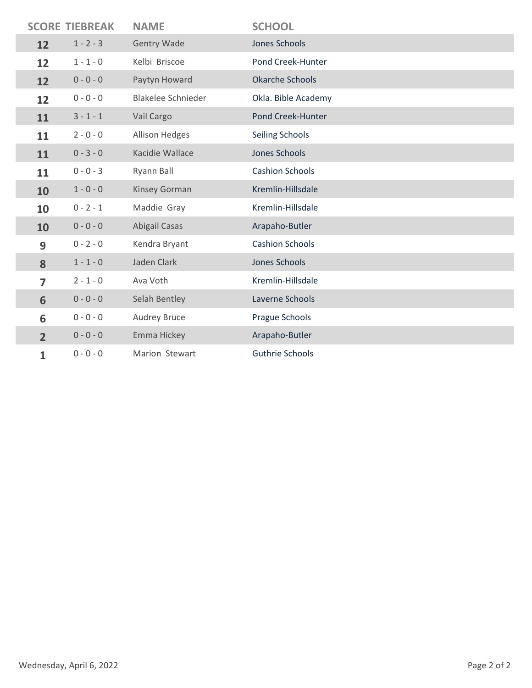|                | <b>SCORE TIEBREAK</b> | <b>NAME</b>               | <b>SCHOOL</b>          |
|----------------|-----------------------|---------------------------|------------------------|
| 12             | $1 - 2 - 3$           | <b>Gentry Wade</b>        | <b>Jones Schools</b>   |
| 12             | $1 - 1 - 0$           | Kelbi Briscoe             | Pond Creek-Hunter      |
| 12             | $0 - 0 - 0$           | Paytyn Howard             | <b>Okarche Schools</b> |
| 12             | $0 - 0 - 0$           | <b>Blakelee Schnieder</b> | Okla. Bible Academy    |
| 11             | $3 - 1 - 1$           | Vail Cargo                | Pond Creek-Hunter      |
| 11             | $2 - 0 - 0$           | Allison Hedges            | Seiling Schools        |
| 11             | $0 - 3 - 0$           | Kacidie Wallace           | <b>Jones Schools</b>   |
| 11             | $0 - 0 - 3$           | Ryann Ball                | <b>Cashion Schools</b> |
| 10             | $1 - 0 - 0$           | Kinsey Gorman             | Kremlin-Hillsdale      |
| 10             | $0 - 2 - 1$           | Maddie Gray               | Kremlin-Hillsdale      |
| 10             | $0 - 0 - 0$           | Abigail Casas             | Arapaho-Butler         |
| 9              | $0 - 2 - 0$           | Kendra Bryant             | <b>Cashion Schools</b> |
| 8              | $1 - 1 - 0$           | Jaden Clark               | <b>Jones Schools</b>   |
| 7              | $2 - 1 - 0$           | Ava Voth                  | Kremlin-Hillsdale      |
| 6              | $0 - 0 - 0$           | Selah Bentley             | Laverne Schools        |
| 6              | $0 - 0 - 0$           | Audrey Bruce              | Prague Schools         |
| $\overline{2}$ | $0 - 0 - 0$           | Emma Hickey               | Arapaho-Butler         |
| 1              | $0 - 0 - 0$           | Marion Stewart            | <b>Guthrie Schools</b> |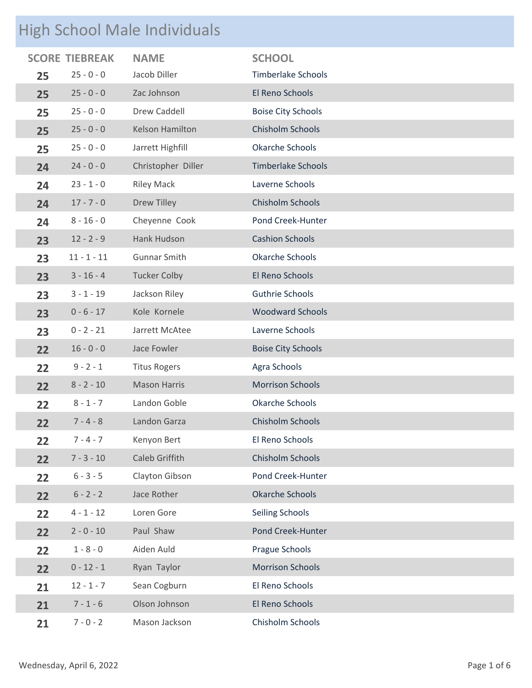# High School Male Individuals

| $\checkmark$ |                       |                     |                           |
|--------------|-----------------------|---------------------|---------------------------|
|              | <b>SCORE TIEBREAK</b> | <b>NAME</b>         | <b>SCHOOL</b>             |
| 25           | $25 - 0 - 0$          | Jacob Diller        | <b>Timberlake Schools</b> |
| 25           | $25 - 0 - 0$          | Zac Johnson         | El Reno Schools           |
| 25           | $25 - 0 - 0$          | <b>Drew Caddell</b> | <b>Boise City Schools</b> |
| 25           | $25 - 0 - 0$          | Kelson Hamilton     | Chisholm Schools          |
| 25           | $25 - 0 - 0$          | Jarrett Highfill    | <b>Okarche Schools</b>    |
| 24           | $24 - 0 - 0$          | Christopher Diller  | <b>Timberlake Schools</b> |
| 24           | $23 - 1 - 0$          | <b>Riley Mack</b>   | Laverne Schools           |
| 24           | $17 - 7 - 0$          | <b>Drew Tilley</b>  | Chisholm Schools          |
| 24           | $8 - 16 - 0$          | Cheyenne Cook       | Pond Creek-Hunter         |
| 23           | $12 - 2 - 9$          | Hank Hudson         | <b>Cashion Schools</b>    |
| 23           | $11 - 1 - 11$         | <b>Gunnar Smith</b> | <b>Okarche Schools</b>    |
| 23           | $3 - 16 - 4$          | <b>Tucker Colby</b> | El Reno Schools           |
| 23           | $3 - 1 - 19$          | Jackson Riley       | <b>Guthrie Schools</b>    |
| 23           | $0 - 6 - 17$          | Kole Kornele        | <b>Woodward Schools</b>   |
| 23           | $0 - 2 - 21$          | Jarrett McAtee      | Laverne Schools           |
| 22           | $16 - 0 - 0$          | Jace Fowler         | <b>Boise City Schools</b> |
| 22           | $9 - 2 - 1$           | <b>Titus Rogers</b> | Agra Schools              |
| 22           | $8 - 2 - 10$          | <b>Mason Harris</b> | <b>Morrison Schools</b>   |
| 22           | $8 - 1 - 7$           | Landon Goble        | <b>Okarche Schools</b>    |
| 22           | $7 - 4 - 8$           | Landon Garza        | Chisholm Schools          |
| 22           | $7 - 4 - 7$           | Kenyon Bert         | El Reno Schools           |
| 22           | $7 - 3 - 10$          | Caleb Griffith      | Chisholm Schools          |
| 22           | $6 - 3 - 5$           | Clayton Gibson      | Pond Creek-Hunter         |
| 22           | $6 - 2 - 2$           | Jace Rother         | <b>Okarche Schools</b>    |
| 22           | $4 - 1 - 12$          | Loren Gore          | Seiling Schools           |
| 22           | $2 - 0 - 10$          | Paul Shaw           | Pond Creek-Hunter         |
| 22           | $1 - 8 - 0$           | Aiden Auld          | Prague Schools            |
| 22           | $0 - 12 - 1$          | Ryan Taylor         | <b>Morrison Schools</b>   |
| 21           | $12 - 1 - 7$          | Sean Cogburn        | El Reno Schools           |
| 21           | $7 - 1 - 6$           | Olson Johnson       | El Reno Schools           |
| 21           | $7 - 0 - 2$           | Mason Jackson       | Chisholm Schools          |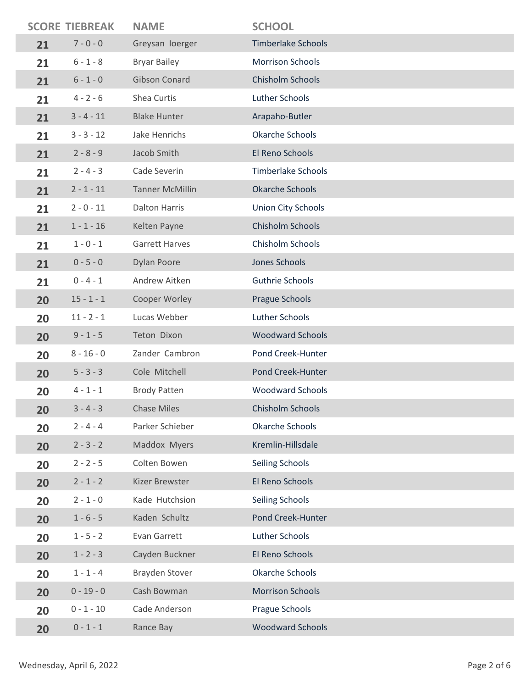|    | <b>SCORE TIEBREAK</b> | <b>NAME</b>            | <b>SCHOOL</b>             |
|----|-----------------------|------------------------|---------------------------|
| 21 | $7 - 0 - 0$           | Greysan loerger        | <b>Timberlake Schools</b> |
| 21 | $6 - 1 - 8$           | <b>Bryar Bailey</b>    | <b>Morrison Schools</b>   |
| 21 | $6 - 1 - 0$           | <b>Gibson Conard</b>   | Chisholm Schools          |
| 21 | $4 - 2 - 6$           | Shea Curtis            | Luther Schools            |
| 21 | $3 - 4 - 11$          | <b>Blake Hunter</b>    | Arapaho-Butler            |
| 21 | $3 - 3 - 12$          | Jake Henrichs          | <b>Okarche Schools</b>    |
| 21 | $2 - 8 - 9$           | Jacob Smith            | El Reno Schools           |
| 21 | $2 - 4 - 3$           | Cade Severin           | <b>Timberlake Schools</b> |
| 21 | $2 - 1 - 11$          | <b>Tanner McMillin</b> | <b>Okarche Schools</b>    |
| 21 | $2 - 0 - 11$          | <b>Dalton Harris</b>   | <b>Union City Schools</b> |
| 21 | $1 - 1 - 16$          | Kelten Payne           | Chisholm Schools          |
| 21 | $1 - 0 - 1$           | <b>Garrett Harves</b>  | Chisholm Schools          |
| 21 | $0 - 5 - 0$           | <b>Dylan Poore</b>     | Jones Schools             |
| 21 | $0 - 4 - 1$           | Andrew Aitken          | Guthrie Schools           |
| 20 | $15 - 1 - 1$          | Cooper Worley          | Prague Schools            |
| 20 | $11 - 2 - 1$          | Lucas Webber           | Luther Schools            |
| 20 | $9 - 1 - 5$           | Teton Dixon            | <b>Woodward Schools</b>   |
| 20 | $8 - 16 - 0$          | Zander Cambron         | Pond Creek-Hunter         |
| 20 | $5 - 3 - 3$           | Cole Mitchell          | Pond Creek-Hunter         |
| 20 | $4 - 1 - 1$           | <b>Brody Patten</b>    | <b>Woodward Schools</b>   |
| 20 | $3 - 4 - 3$           | <b>Chase Miles</b>     | Chisholm Schools          |
| 20 | $2 - 4 - 4$           | Parker Schieber        | <b>Okarche Schools</b>    |
| 20 | $2 - 3 - 2$           | Maddox Myers           | Kremlin-Hillsdale         |
| 20 | $2 - 2 - 5$           | Colten Bowen           | Seiling Schools           |
| 20 | $2 - 1 - 2$           | Kizer Brewster         | El Reno Schools           |
| 20 | $2 - 1 - 0$           | Kade Hutchsion         | <b>Seiling Schools</b>    |
| 20 | $1 - 6 - 5$           | Kaden Schultz          | Pond Creek-Hunter         |
| 20 | $1 - 5 - 2$           | Evan Garrett           | Luther Schools            |
| 20 | $1 - 2 - 3$           | Cayden Buckner         | El Reno Schools           |
| 20 | $1 - 1 - 4$           | <b>Brayden Stover</b>  | Okarche Schools           |
| 20 | $0 - 19 - 0$          | Cash Bowman            | <b>Morrison Schools</b>   |
| 20 | $0 - 1 - 10$          | Cade Anderson          | Prague Schools            |
| 20 | $0 - 1 - 1$           | Rance Bay              | <b>Woodward Schools</b>   |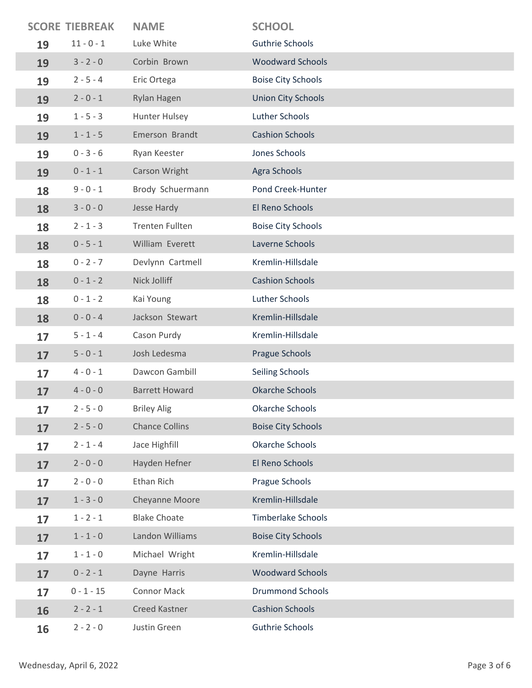|    | <b>SCORE TIEBREAK</b> | <b>NAME</b>            | <b>SCHOOL</b>             |
|----|-----------------------|------------------------|---------------------------|
| 19 | $11 - 0 - 1$          | Luke White             | Guthrie Schools           |
| 19 | $3 - 2 - 0$           | Corbin Brown           | <b>Woodward Schools</b>   |
| 19 | $2 - 5 - 4$           | Eric Ortega            | <b>Boise City Schools</b> |
| 19 | $2 - 0 - 1$           | Rylan Hagen            | <b>Union City Schools</b> |
| 19 | $1 - 5 - 3$           | Hunter Hulsey          | Luther Schools            |
| 19 | $1 - 1 - 5$           | Emerson Brandt         | <b>Cashion Schools</b>    |
| 19 | $0 - 3 - 6$           | Ryan Keester           | Jones Schools             |
| 19 | $0 - 1 - 1$           | Carson Wright          | Agra Schools              |
| 18 | $9 - 0 - 1$           | Brody Schuermann       | Pond Creek-Hunter         |
| 18 | $3 - 0 - 0$           | Jesse Hardy            | El Reno Schools           |
| 18 | $2 - 1 - 3$           | <b>Trenten Fullten</b> | <b>Boise City Schools</b> |
| 18 | $0 - 5 - 1$           | William Everett        | Laverne Schools           |
| 18 | $0 - 2 - 7$           | Devlynn Cartmell       | Kremlin-Hillsdale         |
| 18 | $0 - 1 - 2$           | Nick Jolliff           | <b>Cashion Schools</b>    |
| 18 | $0 - 1 - 2$           | Kai Young              | Luther Schools            |
| 18 | $0 - 0 - 4$           | Jackson Stewart        | Kremlin-Hillsdale         |
| 17 | $5 - 1 - 4$           | Cason Purdy            | Kremlin-Hillsdale         |
| 17 | $5 - 0 - 1$           | Josh Ledesma           | Prague Schools            |
| 17 | $4 - 0 - 1$           | Dawcon Gambill         | Seiling Schools           |
| 17 | $4 - 0 - 0$           | <b>Barrett Howard</b>  | <b>Okarche Schools</b>    |
| 17 | $2 - 5 - 0$           | <b>Briley Alig</b>     | Okarche Schools           |
| 17 | $2 - 5 - 0$           | <b>Chance Collins</b>  | <b>Boise City Schools</b> |
| 17 | $2 - 1 - 4$           | Jace Highfill          | <b>Okarche Schools</b>    |
| 17 | $2 - 0 - 0$           | Hayden Hefner          | El Reno Schools           |
| 17 | $2 - 0 - 0$           | Ethan Rich             | Prague Schools            |
| 17 | $1 - 3 - 0$           | Cheyanne Moore         | Kremlin-Hillsdale         |
| 17 | $1 - 2 - 1$           | <b>Blake Choate</b>    | Timberlake Schools        |
| 17 | $1 - 1 - 0$           | Landon Williams        | <b>Boise City Schools</b> |
| 17 | $1 - 1 - 0$           | Michael Wright         | Kremlin-Hillsdale         |
| 17 | $0 - 2 - 1$           | Dayne Harris           | <b>Woodward Schools</b>   |
| 17 | $0 - 1 - 15$          | <b>Connor Mack</b>     | <b>Drummond Schools</b>   |
| 16 | $2 - 2 - 1$           | Creed Kastner          | <b>Cashion Schools</b>    |
| 16 | $2 - 2 - 0$           | Justin Green           | Guthrie Schools           |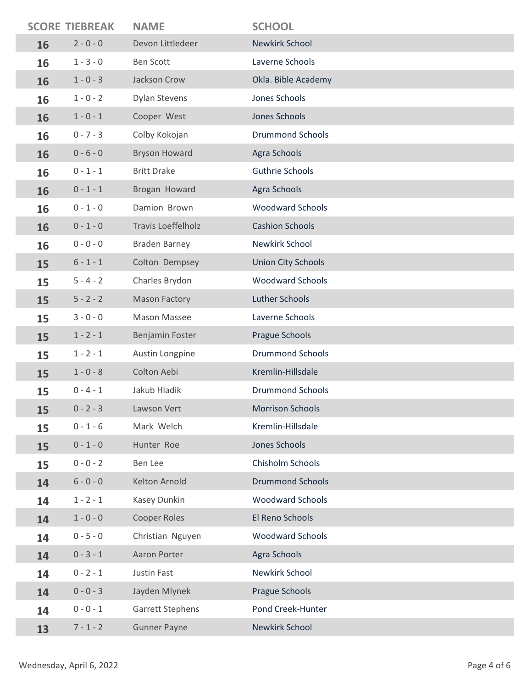|    | <b>SCORE TIEBREAK</b> | <b>NAME</b>               | <b>SCHOOL</b>             |
|----|-----------------------|---------------------------|---------------------------|
| 16 | $2 - 0 - 0$           | Devon Littledeer          | <b>Newkirk School</b>     |
| 16 | $1 - 3 - 0$           | <b>Ben Scott</b>          | Laverne Schools           |
| 16 | $1 - 0 - 3$           | Jackson Crow              | Okla. Bible Academy       |
| 16 | $1 - 0 - 2$           | <b>Dylan Stevens</b>      | Jones Schools             |
| 16 | $1 - 0 - 1$           | Cooper West               | Jones Schools             |
| 16 | $0 - 7 - 3$           | Colby Kokojan             | <b>Drummond Schools</b>   |
| 16 | $0 - 6 - 0$           | <b>Bryson Howard</b>      | Agra Schools              |
| 16 | $0 - 1 - 1$           | <b>Britt Drake</b>        | <b>Guthrie Schools</b>    |
| 16 | $0 - 1 - 1$           | Brogan Howard             | Agra Schools              |
| 16 | $0 - 1 - 0$           | Damion Brown              | <b>Woodward Schools</b>   |
| 16 | $0 - 1 - 0$           | <b>Travis Loeffelholz</b> | <b>Cashion Schools</b>    |
| 16 | $0 - 0 - 0$           | <b>Braden Barney</b>      | Newkirk School            |
| 15 | $6 - 1 - 1$           | Colton Dempsey            | <b>Union City Schools</b> |
| 15 | $5 - 4 - 2$           | Charles Brydon            | <b>Woodward Schools</b>   |
| 15 | $5 - 2 - 2$           | <b>Mason Factory</b>      | <b>Luther Schools</b>     |
| 15 | $3 - 0 - 0$           | Mason Massee              | Laverne Schools           |
| 15 | $1 - 2 - 1$           | Benjamin Foster           | Prague Schools            |
| 15 | $1 - 2 - 1$           | Austin Longpine           | <b>Drummond Schools</b>   |
| 15 | $1 - 0 - 8$           | Colton Aebi               | Kremlin-Hillsdale         |
| 15 | $0 - 4 - 1$           | Jakub Hladik              | <b>Drummond Schools</b>   |
| 15 | $0 - 2 - 3$           | Lawson Vert               | <b>Morrison Schools</b>   |
| 15 | $0 - 1 - 6$           | Mark Welch                | Kremlin-Hillsdale         |
| 15 | $0 - 1 - 0$           | Hunter Roe                | Jones Schools             |
| 15 | $0 - 0 - 2$           | Ben Lee                   | Chisholm Schools          |
| 14 | $6 - 0 - 0$           | Kelton Arnold             | <b>Drummond Schools</b>   |
| 14 | $1 - 2 - 1$           | Kasey Dunkin              | <b>Woodward Schools</b>   |
| 14 | $1 - 0 - 0$           | Cooper Roles              | El Reno Schools           |
| 14 | $0 - 5 - 0$           | Christian Nguyen          | <b>Woodward Schools</b>   |
| 14 | $0 - 3 - 1$           | Aaron Porter              | Agra Schools              |
| 14 | $0 - 2 - 1$           | Justin Fast               | Newkirk School            |
| 14 | $0 - 0 - 3$           | Jayden Mlynek             | Prague Schools            |
| 14 | $0 - 0 - 1$           | Garrett Stephens          | Pond Creek-Hunter         |
| 13 | $7 - 1 - 2$           | <b>Gunner Payne</b>       | Newkirk School            |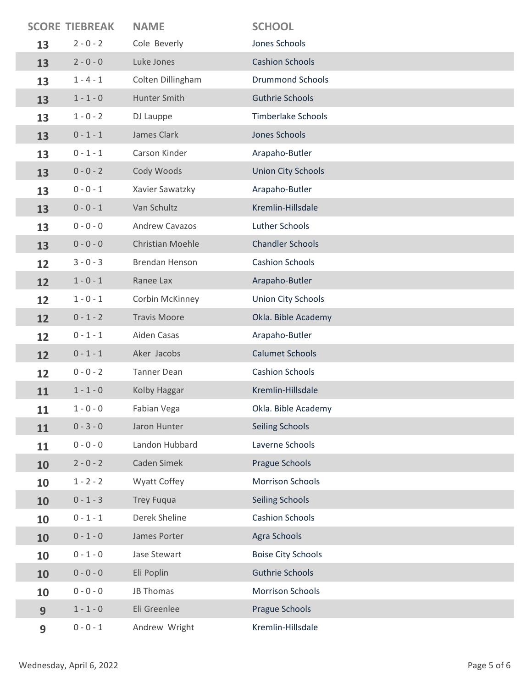|    | <b>SCORE TIEBREAK</b> | <b>NAME</b>             | <b>SCHOOL</b>             |
|----|-----------------------|-------------------------|---------------------------|
| 13 | $2 - 0 - 2$           | Cole Beverly            | Jones Schools             |
| 13 | $2 - 0 - 0$           | Luke Jones              | <b>Cashion Schools</b>    |
| 13 | $1 - 4 - 1$           | Colten Dillingham       | <b>Drummond Schools</b>   |
| 13 | $1 - 1 - 0$           | Hunter Smith            | <b>Guthrie Schools</b>    |
| 13 | $1 - 0 - 2$           | DJ Lauppe               | <b>Timberlake Schools</b> |
| 13 | $0 - 1 - 1$           | James Clark             | Jones Schools             |
| 13 | $0 - 1 - 1$           | Carson Kinder           | Arapaho-Butler            |
| 13 | $0 - 0 - 2$           | Cody Woods              | <b>Union City Schools</b> |
| 13 | $0 - 0 - 1$           | Xavier Sawatzky         | Arapaho-Butler            |
| 13 | $0 - 0 - 1$           | Van Schultz             | Kremlin-Hillsdale         |
| 13 | $0 - 0 - 0$           | <b>Andrew Cavazos</b>   | Luther Schools            |
| 13 | $0 - 0 - 0$           | <b>Christian Moehle</b> | <b>Chandler Schools</b>   |
| 12 | $3 - 0 - 3$           | <b>Brendan Henson</b>   | <b>Cashion Schools</b>    |
| 12 | $1 - 0 - 1$           | Ranee Lax               | Arapaho-Butler            |
| 12 | $1 - 0 - 1$           | Corbin McKinney         | <b>Union City Schools</b> |
| 12 | $0 - 1 - 2$           | <b>Travis Moore</b>     | Okla. Bible Academy       |
| 12 | $0 - 1 - 1$           | Aiden Casas             | Arapaho-Butler            |
| 12 | $0 - 1 - 1$           | Aker Jacobs             | <b>Calumet Schools</b>    |
| 12 | $0 - 0 - 2$           | <b>Tanner Dean</b>      | <b>Cashion Schools</b>    |
| 11 | $1 - 1 - 0$           | Kolby Haggar            | Kremlin-Hillsdale         |
| 11 | $1 - 0 - 0$           | Fabian Vega             | Okla. Bible Academy       |
| 11 | $0 - 3 - 0$           | Jaron Hunter            | <b>Seiling Schools</b>    |
| 11 | $0 - 0 - 0$           | Landon Hubbard          | Laverne Schools           |
| 10 | $2 - 0 - 2$           | Caden Simek             | Prague Schools            |
| 10 | $1 - 2 - 2$           | <b>Wyatt Coffey</b>     | <b>Morrison Schools</b>   |
| 10 | $0 - 1 - 3$           | <b>Trey Fuqua</b>       | <b>Seiling Schools</b>    |
| 10 | $0 - 1 - 1$           | Derek Sheline           | <b>Cashion Schools</b>    |
| 10 | $0 - 1 - 0$           | James Porter            | Agra Schools              |
| 10 | $0 - 1 - 0$           | Jase Stewart            | <b>Boise City Schools</b> |
| 10 | $0 - 0 - 0$           | Eli Poplin              | <b>Guthrie Schools</b>    |
| 10 | $0 - 0 - 0$           | <b>JB Thomas</b>        | <b>Morrison Schools</b>   |
| 9  | $1 - 1 - 0$           | Eli Greenlee            | <b>Prague Schools</b>     |
| 9  | $0 - 0 - 1$           | Andrew Wright           | Kremlin-Hillsdale         |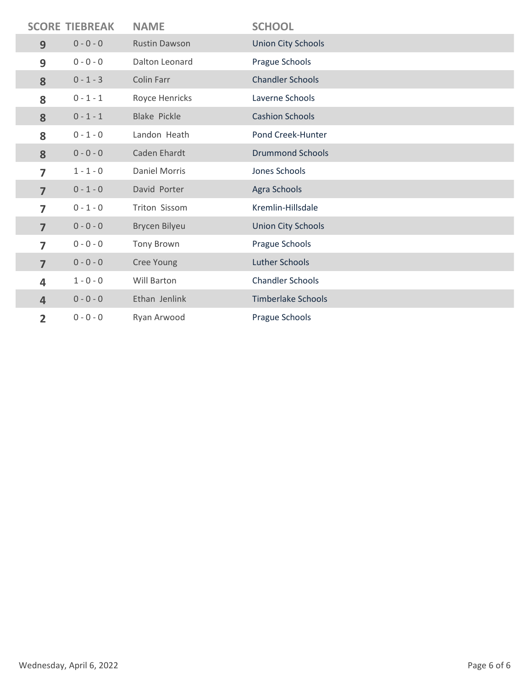|                         | <b>SCORE TIEBREAK</b> | <b>NAME</b>          | <b>SCHOOL</b>             |
|-------------------------|-----------------------|----------------------|---------------------------|
| 9                       | $0 - 0 - 0$           | <b>Rustin Dawson</b> | <b>Union City Schools</b> |
| 9                       | $0 - 0 - 0$           | Dalton Leonard       | Prague Schools            |
| 8                       | $0 - 1 - 3$           | Colin Farr           | <b>Chandler Schools</b>   |
| 8                       | $0 - 1 - 1$           | Royce Henricks       | Laverne Schools           |
| 8                       | $0 - 1 - 1$           | <b>Blake Pickle</b>  | <b>Cashion Schools</b>    |
| 8                       | $0 - 1 - 0$           | Landon Heath         | Pond Creek-Hunter         |
| 8                       | $0 - 0 - 0$           | Caden Ehardt         | <b>Drummond Schools</b>   |
| 7                       | $1 - 1 - 0$           | <b>Daniel Morris</b> | Jones Schools             |
| $\overline{7}$          | $0 - 1 - 0$           | David Porter         | Agra Schools              |
| 7                       | $0 - 1 - 0$           | <b>Triton Sissom</b> | Kremlin-Hillsdale         |
| $\overline{7}$          | $0 - 0 - 0$           | Brycen Bilyeu        | <b>Union City Schools</b> |
| 7                       | $0 - 0 - 0$           | <b>Tony Brown</b>    | Prague Schools            |
| $\overline{7}$          | $0 - 0 - 0$           | Cree Young           | Luther Schools            |
| $\overline{\mathbf{4}}$ | $1 - 0 - 0$           | Will Barton          | <b>Chandler Schools</b>   |
| $\overline{4}$          | $0 - 0 - 0$           | Ethan Jenlink        | <b>Timberlake Schools</b> |
| $\overline{2}$          | $0 - 0 - 0$           | Ryan Arwood          | Prague Schools            |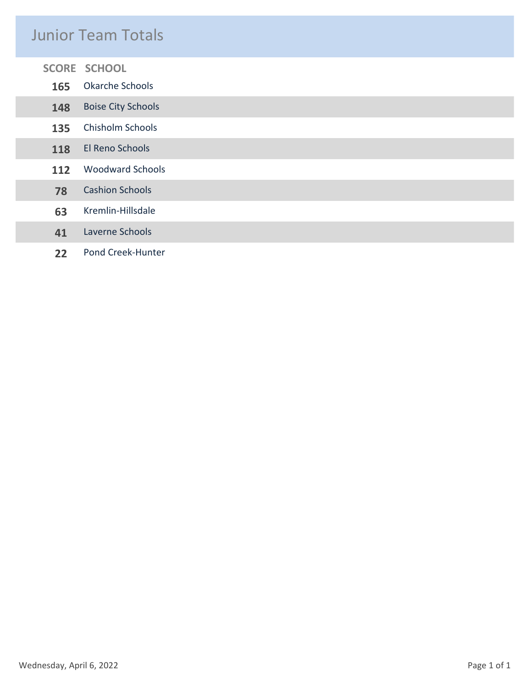#### Junior Team Totals

| 165 | <b>SCORE SCHOOL</b><br>Okarche Schools |
|-----|----------------------------------------|
| 148 | <b>Boise City Schools</b>              |
| 135 | Chisholm Schools                       |
| 118 | El Reno Schools                        |
| 112 | <b>Woodward Schools</b>                |
| 78  | <b>Cashion Schools</b>                 |
| 63  | Kremlin-Hillsdale                      |
| 41  | Laverne Schools                        |
| 22  | Pond Creek-Hunter                      |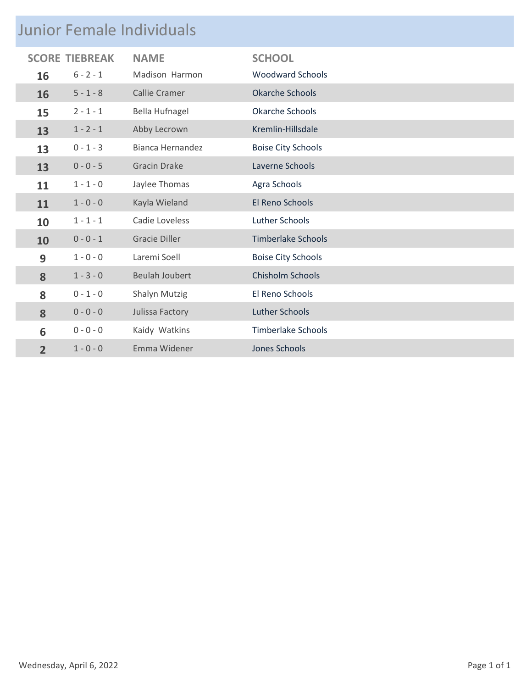### Junior Female Individuals

|                | <b>SCORE TIEBREAK</b> | <b>NAME</b>           | <b>SCHOOL</b>             |  |  |
|----------------|-----------------------|-----------------------|---------------------------|--|--|
| 16             | $6 - 2 - 1$           | Madison Harmon        | <b>Woodward Schools</b>   |  |  |
| 16             | $5 - 1 - 8$           | <b>Callie Cramer</b>  | <b>Okarche Schools</b>    |  |  |
| 15             | $2 - 1 - 1$           | Bella Hufnagel        | <b>Okarche Schools</b>    |  |  |
| 13             | $1 - 2 - 1$           | Abby Lecrown          | Kremlin-Hillsdale         |  |  |
| 13             | $0 - 1 - 3$           | Bianca Hernandez      | <b>Boise City Schools</b> |  |  |
| 13             | $0 - 0 - 5$           | <b>Gracin Drake</b>   | Laverne Schools           |  |  |
| 11             | $1 - 1 - 0$           | Jaylee Thomas         | Agra Schools              |  |  |
| 11             | $1 - 0 - 0$           | Kayla Wieland         | El Reno Schools           |  |  |
| 10             | $1 - 1 - 1$           | Cadie Loveless        | Luther Schools            |  |  |
| 10             | $0 - 0 - 1$           | <b>Gracie Diller</b>  | Timberlake Schools        |  |  |
| 9              | $1 - 0 - 0$           | Laremi Soell          | <b>Boise City Schools</b> |  |  |
| 8              | $1 - 3 - 0$           | <b>Beulah Joubert</b> | Chisholm Schools          |  |  |
| 8              | $0 - 1 - 0$           | Shalyn Mutzig         | El Reno Schools           |  |  |
| 8              | $0 - 0 - 0$           | Julissa Factory       | <b>Luther Schools</b>     |  |  |
| 6              | $0 - 0 - 0$           | Kaidy Watkins         | <b>Timberlake Schools</b> |  |  |
| $\overline{2}$ | $1 - 0 - 0$           | Emma Widener          | <b>Jones Schools</b>      |  |  |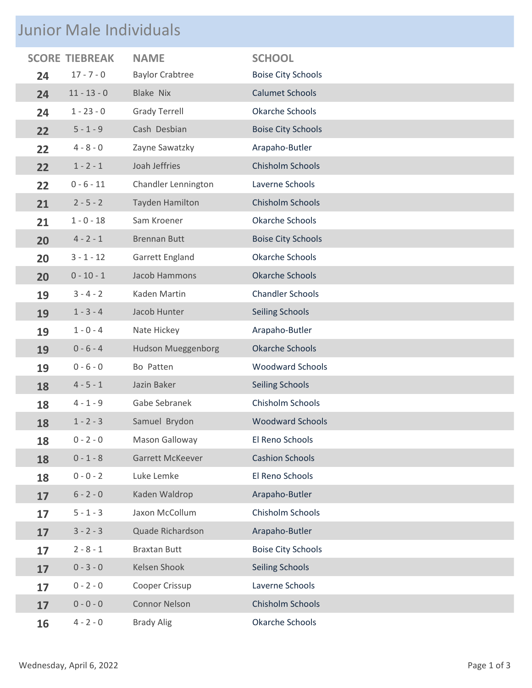## Junior Male Individuals

|    |               | <b>NAME</b>               | <b>SCHOOL</b>             |
|----|---------------|---------------------------|---------------------------|
| 24 | $17 - 7 - 0$  | <b>Baylor Crabtree</b>    | <b>Boise City Schools</b> |
| 24 | $11 - 13 - 0$ | <b>Blake Nix</b>          | <b>Calumet Schools</b>    |
| 24 | $1 - 23 - 0$  | <b>Grady Terrell</b>      | <b>Okarche Schools</b>    |
| 22 | $5 - 1 - 9$   | Cash Desbian              | <b>Boise City Schools</b> |
| 22 | $4 - 8 - 0$   | Zayne Sawatzky            | Arapaho-Butler            |
| 22 | $1 - 2 - 1$   | Joah Jeffries             | Chisholm Schools          |
| 22 | $0 - 6 - 11$  | Chandler Lennington       | Laverne Schools           |
| 21 | $2 - 5 - 2$   | Tayden Hamilton           | Chisholm Schools          |
| 21 | $1 - 0 - 18$  | Sam Kroener               | Okarche Schools           |
| 20 | $4 - 2 - 1$   | <b>Brennan Butt</b>       | <b>Boise City Schools</b> |
| 20 | $3 - 1 - 12$  | Garrett England           | <b>Okarche Schools</b>    |
| 20 | $0 - 10 - 1$  | Jacob Hammons             | <b>Okarche Schools</b>    |
| 19 | $3 - 4 - 2$   | Kaden Martin              | <b>Chandler Schools</b>   |
| 19 | $1 - 3 - 4$   | Jacob Hunter              | <b>Seiling Schools</b>    |
| 19 | $1 - 0 - 4$   | Nate Hickey               | Arapaho-Butler            |
| 19 | $0 - 6 - 4$   | <b>Hudson Mueggenborg</b> | <b>Okarche Schools</b>    |
| 19 | $0 - 6 - 0$   | Bo Patten                 | <b>Woodward Schools</b>   |
| 18 | $4 - 5 - 1$   | Jazin Baker               | <b>Seiling Schools</b>    |
| 18 | $4 - 1 - 9$   | Gabe Sebranek             | Chisholm Schools          |
| 18 | $1 - 2 - 3$   | Samuel Brydon             | <b>Woodward Schools</b>   |
| 18 | $0 - 2 - 0$   | Mason Galloway            | El Reno Schools           |
| 18 | $0 - 1 - 8$   | Garrett McKeever          | <b>Cashion Schools</b>    |
| 18 | $0 - 0 - 2$   | Luke Lemke                | El Reno Schools           |
| 17 | $6 - 2 - 0$   | Kaden Waldrop             | Arapaho-Butler            |
| 17 | $5 - 1 - 3$   | Jaxon McCollum            | Chisholm Schools          |
| 17 | $3 - 2 - 3$   | Quade Richardson          | Arapaho-Butler            |
| 17 | $2 - 8 - 1$   | <b>Braxtan Butt</b>       | <b>Boise City Schools</b> |
| 17 | $0 - 3 - 0$   | Kelsen Shook              | <b>Seiling Schools</b>    |
| 17 | $0 - 2 - 0$   | Cooper Crissup            | Laverne Schools           |
| 17 | $0 - 0 - 0$   | <b>Connor Nelson</b>      | Chisholm Schools          |
| 16 | $4 - 2 - 0$   | <b>Brady Alig</b>         | Okarche Schools           |
|    |               | <b>SCORE TIEBREAK</b>     |                           |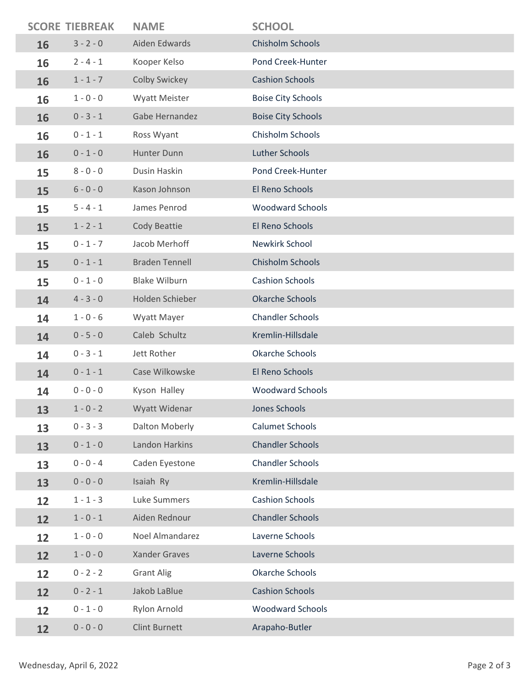|    | <b>SCORE TIEBREAK</b> | <b>NAME</b>           | <b>SCHOOL</b>             |
|----|-----------------------|-----------------------|---------------------------|
| 16 | $3 - 2 - 0$           | Aiden Edwards         | Chisholm Schools          |
| 16 | $2 - 4 - 1$           | Kooper Kelso          | Pond Creek-Hunter         |
| 16 | $1 - 1 - 7$           | Colby Swickey         | <b>Cashion Schools</b>    |
| 16 | $1 - 0 - 0$           | <b>Wyatt Meister</b>  | <b>Boise City Schools</b> |
| 16 | $0 - 3 - 1$           | Gabe Hernandez        | <b>Boise City Schools</b> |
| 16 | $0 - 1 - 1$           | Ross Wyant            | Chisholm Schools          |
| 16 | $0 - 1 - 0$           | Hunter Dunn           | Luther Schools            |
| 15 | $8 - 0 - 0$           | Dusin Haskin          | Pond Creek-Hunter         |
| 15 | $6 - 0 - 0$           | Kason Johnson         | El Reno Schools           |
| 15 | $5 - 4 - 1$           | James Penrod          | <b>Woodward Schools</b>   |
| 15 | $1 - 2 - 1$           | Cody Beattie          | El Reno Schools           |
| 15 | $0 - 1 - 7$           | Jacob Merhoff         | Newkirk School            |
| 15 | $0 - 1 - 1$           | <b>Braden Tennell</b> | Chisholm Schools          |
| 15 | $0 - 1 - 0$           | <b>Blake Wilburn</b>  | <b>Cashion Schools</b>    |
| 14 | $4 - 3 - 0$           | Holden Schieber       | <b>Okarche Schools</b>    |
| 14 | $1 - 0 - 6$           | Wyatt Mayer           | <b>Chandler Schools</b>   |
| 14 | $0 - 5 - 0$           | Caleb Schultz         | Kremlin-Hillsdale         |
| 14 | $0 - 3 - 1$           | Jett Rother           | Okarche Schools           |
| 14 | $0 - 1 - 1$           | Case Wilkowske        | El Reno Schools           |
| 14 | $0 - 0 - 0$           | Kyson Halley          | <b>Woodward Schools</b>   |
| 13 | $1 - 0 - 2$           | Wyatt Widenar         | Jones Schools             |
| 13 | $0 - 3 - 3$           | Dalton Moberly        | <b>Calumet Schools</b>    |
| 13 | $0 - 1 - 0$           | Landon Harkins        | <b>Chandler Schools</b>   |
| 13 | $0 - 0 - 4$           | Caden Eyestone        | <b>Chandler Schools</b>   |
| 13 | $0 - 0 - 0$           | Isaiah Ry             | Kremlin-Hillsdale         |
| 12 | $1 - 1 - 3$           | Luke Summers          | <b>Cashion Schools</b>    |
| 12 | $1 - 0 - 1$           | Aiden Rednour         | <b>Chandler Schools</b>   |
| 12 | $1 - 0 - 0$           | Noel Almandarez       | Laverne Schools           |
| 12 | $1 - 0 - 0$           | <b>Xander Graves</b>  | Laverne Schools           |
| 12 | $0 - 2 - 2$           | <b>Grant Alig</b>     | Okarche Schools           |
| 12 | $0 - 2 - 1$           | Jakob LaBlue          | <b>Cashion Schools</b>    |
| 12 | $0 - 1 - 0$           | Rylon Arnold          | <b>Woodward Schools</b>   |
| 12 | $0 - 0 - 0$           | <b>Clint Burnett</b>  | Arapaho-Butler            |